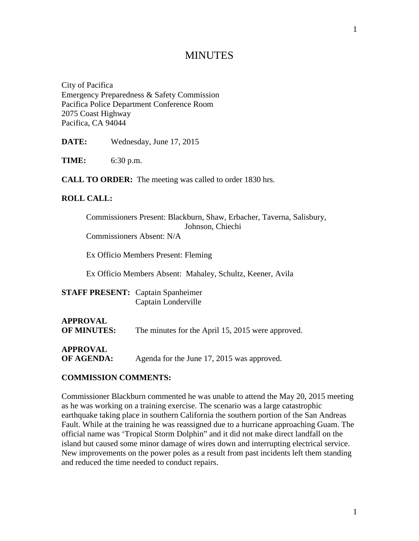# **MINUTES**

City of Pacifica Emergency Preparedness & Safety Commission Pacifica Police Department Conference Room 2075 Coast Highway Pacifica, CA 94044

**DATE:** Wednesday, June 17, 2015

**TIME:** 6:30 p.m.

**CALL TO ORDER:** The meeting was called to order 1830 hrs.

#### **ROLL CALL:**

| Commissioners Present: Blackburn, Shaw, Erbacher, Taverna, Salisbury, |
|-----------------------------------------------------------------------|
| Johnson, Chiechi                                                      |
| Commissioners Absent: N/A                                             |
|                                                                       |
| Ex Officio Members Present: Fleming                                   |
|                                                                       |
| Ex Officio Members Absent: Mahaley, Schultz, Keener, Avila            |
|                                                                       |
| <b>FF PRESENT:</b> Captain Spanheimer                                 |

| <b>STAFF PRESENT:</b> Captain Spanheimer |
|------------------------------------------|
| Captain Londerville                      |

# **APPROVAL OF MINUTES:** The minutes for the April 15, 2015 were approved.

**APPROVAL**

**OF AGENDA:** Agenda for the June 17, 2015 was approved.

#### **COMMISSION COMMENTS:**

Commissioner Blackburn commented he was unable to attend the May 20, 2015 meeting as he was working on a training exercise. The scenario was a large catastrophic earthquake taking place in southern California the southern portion of the San Andreas Fault. While at the training he was reassigned due to a hurricane approaching Guam. The official name was 'Tropical Storm Dolphin" and it did not make direct landfall on the island but caused some minor damage of wires down and interrupting electrical service. New improvements on the power poles as a result from past incidents left them standing and reduced the time needed to conduct repairs.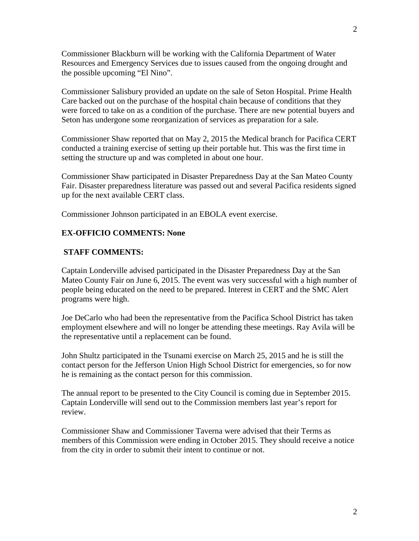Commissioner Blackburn will be working with the California Department of Water Resources and Emergency Services due to issues caused from the ongoing drought and the possible upcoming "El Nino".

Commissioner Salisbury provided an update on the sale of Seton Hospital. Prime Health Care backed out on the purchase of the hospital chain because of conditions that they were forced to take on as a condition of the purchase. There are new potential buyers and Seton has undergone some reorganization of services as preparation for a sale.

Commissioner Shaw reported that on May 2, 2015 the Medical branch for Pacifica CERT conducted a training exercise of setting up their portable hut. This was the first time in setting the structure up and was completed in about one hour.

Commissioner Shaw participated in Disaster Preparedness Day at the San Mateo County Fair. Disaster preparedness literature was passed out and several Pacifica residents signed up for the next available CERT class.

Commissioner Johnson participated in an EBOLA event exercise.

#### **EX-OFFICIO COMMENTS: None**

#### **STAFF COMMENTS:**

Captain Londerville advised participated in the Disaster Preparedness Day at the San Mateo County Fair on June 6, 2015. The event was very successful with a high number of people being educated on the need to be prepared. Interest in CERT and the SMC Alert programs were high.

Joe DeCarlo who had been the representative from the Pacifica School District has taken employment elsewhere and will no longer be attending these meetings. Ray Avila will be the representative until a replacement can be found.

John Shultz participated in the Tsunami exercise on March 25, 2015 and he is still the contact person for the Jefferson Union High School District for emergencies, so for now he is remaining as the contact person for this commission.

The annual report to be presented to the City Council is coming due in September 2015. Captain Londerville will send out to the Commission members last year's report for review.

Commissioner Shaw and Commissioner Taverna were advised that their Terms as members of this Commission were ending in October 2015. They should receive a notice from the city in order to submit their intent to continue or not.